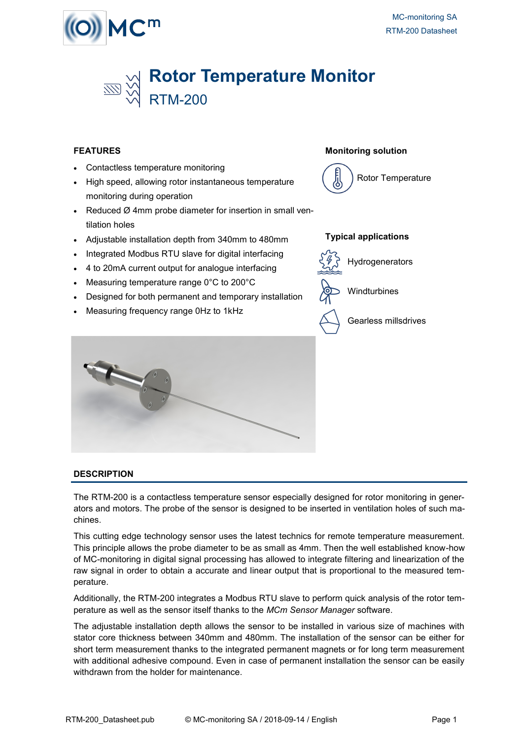



### **FEATURES**

- Contactless temperature monitoring
- High speed, allowing rotor instantaneous temperature monitoring during operation
- Reduced  $Ø$  4mm probe diameter for insertion in small ventilation holes
- Adjustable installation depth from 340mm to 480mm
- Integrated Modbus RTU slave for digital interfacing
- 4 to 20mA current output for analogue interfacing
- Measuring temperature range 0°C to 200°C
- Designed for both permanent and temporary installation
- Measuring frequency range 0Hz to 1kHz



### **Monitoring solution**



#### **Typical applications**



Windturbines

Gearless millsdrives

### **DESCRIPTION**

The RTM-200 is a contactless temperature sensor especially designed for rotor monitoring in generators and motors. The probe of the sensor is designed to be inserted in ventilation holes of such machines.

This cutting edge technology sensor uses the latest technics for remote temperature measurement. This principle allows the probe diameter to be as small as 4mm. Then the well established know-how of MC-monitoring in digital signal processing has allowed to integrate filtering and linearization of the raw signal in order to obtain a accurate and linear output that is proportional to the measured temperature.

Additionally, the RTM-200 integrates a Modbus RTU slave to perform quick analysis of the rotor temperature as well as the sensor itself thanks to the *MCm Sensor Manager* software.

The adjustable installation depth allows the sensor to be installed in various size of machines with stator core thickness between 340mm and 480mm. The installation of the sensor can be either for short term measurement thanks to the integrated permanent magnets or for long term measurement with additional adhesive compound. Even in case of permanent installation the sensor can be easily withdrawn from the holder for maintenance.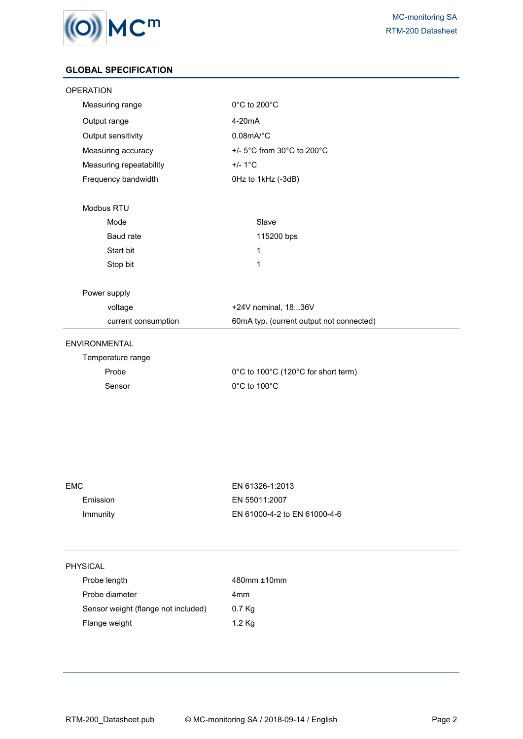

# **GLOBAL SPECIFICATION**

| <b>OPERATION</b>        |                                          |  |  |
|-------------------------|------------------------------------------|--|--|
| Measuring range         | 0°C to 200°C                             |  |  |
| Output range            | $4-20mA$                                 |  |  |
| Output sensitivity      | $0.08$ mA/°C                             |  |  |
| Measuring accuracy      | +/- 5°C from 30°C to 200°C               |  |  |
| Measuring repeatability | $+/- 1^{\circ}C$                         |  |  |
| Frequency bandwidth     | OHz to 1kHz (-3dB)                       |  |  |
| Modbus RTU              |                                          |  |  |
| Mode                    | Slave                                    |  |  |
| Baud rate               | 115200 bps                               |  |  |
| Start bit               | 1                                        |  |  |
| Stop bit                | $\mathbf{1}$                             |  |  |
| Power supply            |                                          |  |  |
| voltage                 | +24V nominal, 1836V                      |  |  |
| current consumption     | 60mA typ. (current output not connected) |  |  |
| <b>ENVIRONMENTAL</b>    |                                          |  |  |
| Temperature range       |                                          |  |  |
| Probe                   | 0°C to 100°C (120°C for short term)      |  |  |
| Sensor                  | 0°C to 100°C                             |  |  |
|                         |                                          |  |  |

| EMC.     | EN 61326-1:2013              |
|----------|------------------------------|
| Emission | EN 55011:2007                |
| Immunity | EN 61000-4-2 to EN 61000-4-6 |
|          |                              |

# PHYSICAL

l.

| Probe length                        | 480mm ±10mm |
|-------------------------------------|-------------|
| Probe diameter                      | 4mm         |
| Sensor weight (flange not included) | 0.7 Kg      |
| Flange weight                       | 1.2 Kg      |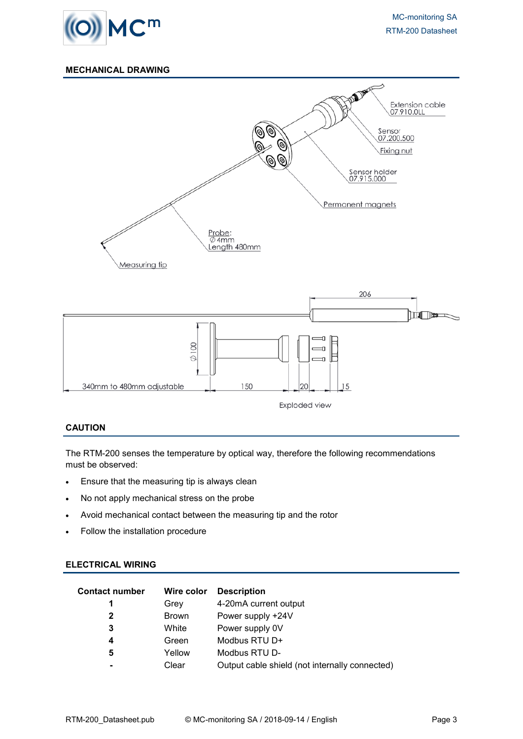

# **MECHANICAL DRAWING**



### **CAUTION**

The RTM-200 senses the temperature by optical way, therefore the following recommendations must be observed:

- Ensure that the measuring tip is always clean
- No not apply mechanical stress on the probe
- Avoid mechanical contact between the measuring tip and the rotor
- Follow the installation procedure

#### **ELECTRICAL WIRING**

| <b>Contact number</b> | Wire color   | <b>Description</b>                             |
|-----------------------|--------------|------------------------------------------------|
| 1                     | Grev         | 4-20mA current output                          |
| $\mathbf{2}$          | <b>Brown</b> | Power supply +24V                              |
| 3                     | White        | Power supply 0V                                |
| 4                     | Green        | Modbus RTU D+                                  |
| 5                     | Yellow       | Modbus RTU D-                                  |
|                       | Clear        | Output cable shield (not internally connected) |